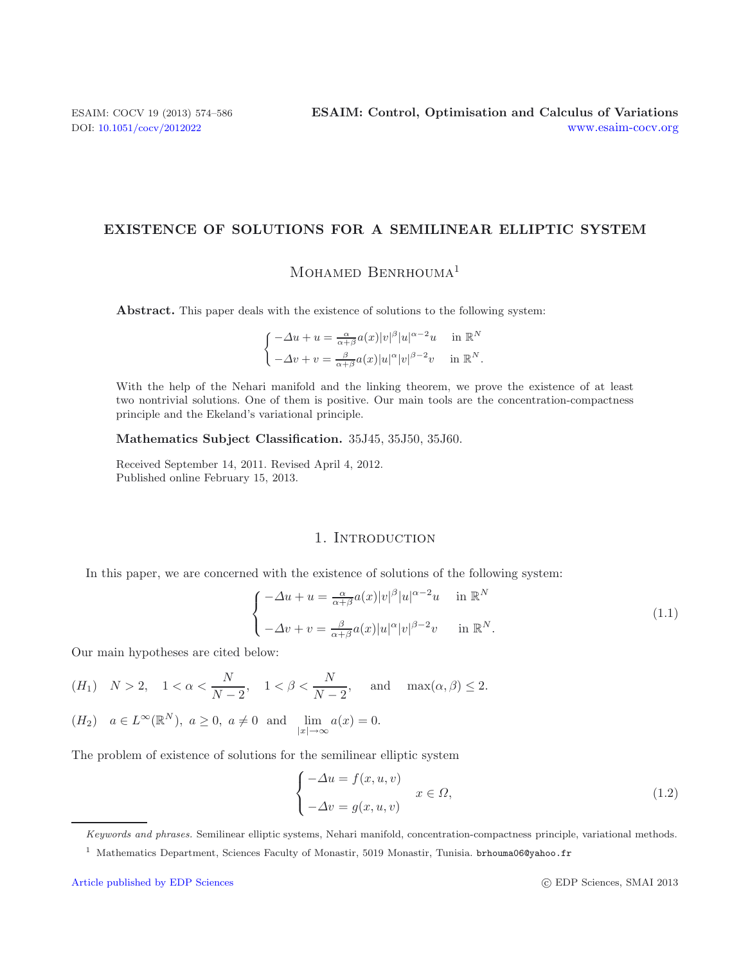# **EXISTENCE OF SOLUTIONS FOR A SEMILINEAR ELLIPTIC SYSTEM**

MOHAMED BENRHOUMA<sup>1</sup>

**Abstract.** This paper deals with the existence of solutions to the following system:

$$
\begin{cases}\n-\Delta u + u = \frac{\alpha}{\alpha + \beta} a(x) |v|^\beta |u|^{\alpha - 2} u & \text{in } \mathbb{R}^N \\
-\Delta v + v = \frac{\beta}{\alpha + \beta} a(x) |u|^\alpha |v|^{\beta - 2} v & \text{in } \mathbb{R}^N.\n\end{cases}
$$

With the help of the Nehari manifold and the linking theorem, we prove the existence of at least two nontrivial solutions. One of them is positive. Our main tools are the concentration-compactness principle and the Ekeland's variational principle.

**Mathematics Subject Classification.** 35J45, 35J50, 35J60.

Received September 14, 2011. Revised April 4, 2012. Published online February 15, 2013.

## 1. INTRODUCTION

In this paper, we are concerned with the existence of solutions of the following system:

$$
\begin{cases}\n-\Delta u + u = \frac{\alpha}{\alpha + \beta} a(x) |v|^\beta |u|^{\alpha - 2} u & \text{in } \mathbb{R}^N \\
-\Delta v + v = \frac{\beta}{\alpha + \beta} a(x) |u|^\alpha |v|^{\beta - 2} v & \text{in } \mathbb{R}^N.\n\end{cases}
$$
\n(1.1)

Our main hypotheses are cited below:

$$
(H_1)
$$
  $N > 2$ ,  $1 < \alpha < \frac{N}{N-2}$ ,  $1 < \beta < \frac{N}{N-2}$ , and  $\max(\alpha, \beta) \le 2$ .

$$
(H_2) \quad a \in L^{\infty}(\mathbb{R}^N), \ a \ge 0, \ a \ne 0 \text{ and } \lim_{|x| \to \infty} a(x) = 0.
$$

The problem of existence of solutions for the semilinear elliptic system

$$
\begin{cases}\n-\Delta u = f(x, u, v) \\
-\Delta v = g(x, u, v)\n\end{cases} \quad x \in \Omega,
$$
\n(1.2)

Keywords and phrases. Semilinear elliptic systems, Nehari manifold, concentration-compactness principle, variational methods.

<sup>&</sup>lt;sup>1</sup> Mathematics Department, Sciences Faculty of Monastir, 5019 Monastir, Tunisia. brhouma06@yahoo.fr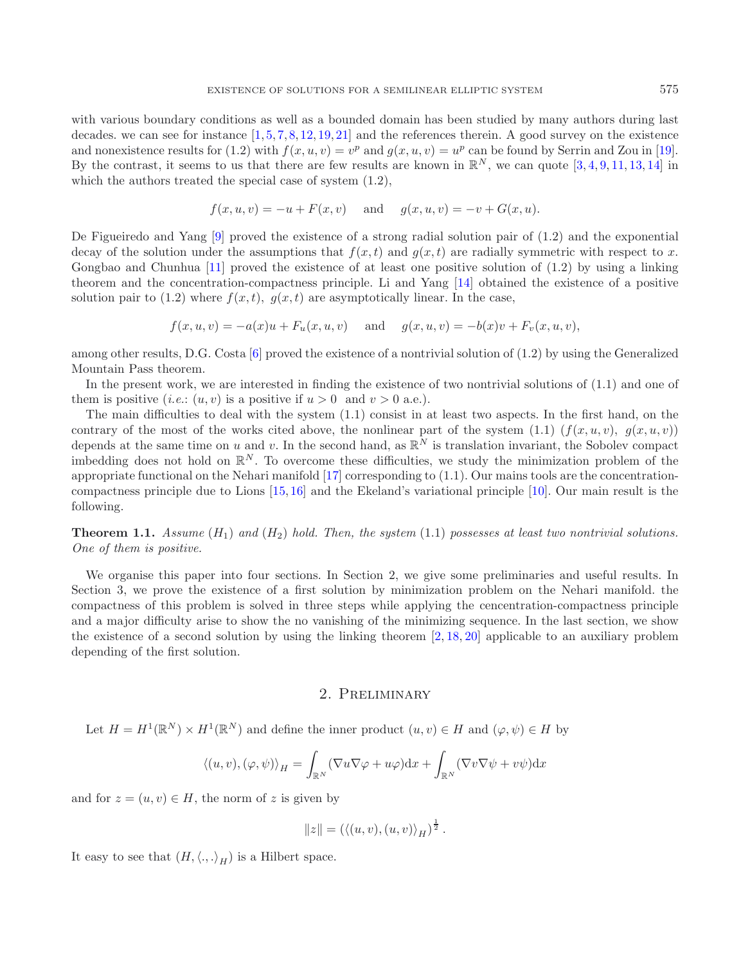with various boundary conditions as well as a bounded domain has been studied by many authors during last decades. we can see for instance  $[1, 5, 7, 8, 12, 19, 21]$  $[1, 5, 7, 8, 12, 19, 21]$  $[1, 5, 7, 8, 12, 19, 21]$  $[1, 5, 7, 8, 12, 19, 21]$  $[1, 5, 7, 8, 12, 19, 21]$  $[1, 5, 7, 8, 12, 19, 21]$  $[1, 5, 7, 8, 12, 19, 21]$  $[1, 5, 7, 8, 12, 19, 21]$  $[1, 5, 7, 8, 12, 19, 21]$  $[1, 5, 7, 8, 12, 19, 21]$  $[1, 5, 7, 8, 12, 19, 21]$  $[1, 5, 7, 8, 12, 19, 21]$  $[1, 5, 7, 8, 12, 19, 21]$  and the references therein. A good survey on the existence and nonexistence results for (1.2) with  $f(x, u, v) = v^p$  and  $g(x, u, v) = u^p$  can be found by Serrin and Zou in [\[19](#page-12-5)]. By the contrast, it seems to us that there are few results are known in  $\mathbb{R}^N$ , we can quote [\[3,](#page-12-7) [4](#page-12-8), [9](#page-12-9), [11,](#page-12-10) [13,](#page-12-11) [14\]](#page-12-12) in which the authors treated the special case of system (1.2),

$$
f(x, u, v) = -u + F(x, v)
$$
 and  $g(x, u, v) = -v + G(x, u)$ .

De Figueiredo and Yang [\[9\]](#page-12-9) proved the existence of a strong radial solution pair of (1.2) and the exponential decay of the solution under the assumptions that  $f(x, t)$  and  $g(x, t)$  are radially symmetric with respect to x. Gongbao and Chunhua [\[11\]](#page-12-10) proved the existence of at least one positive solution of (1.2) by using a linking theorem and the concentration-compactness principle. Li and Yang [\[14](#page-12-12)] obtained the existence of a positive solution pair to  $(1.2)$  where  $f(x, t)$ ,  $g(x, t)$  are asymptotically linear. In the case,

$$
f(x, u, v) = -a(x)u + F_u(x, u, v)
$$
 and  $g(x, u, v) = -b(x)v + F_v(x, u, v)$ ,

among other results, D.G. Costa [\[6\]](#page-12-13) proved the existence of a nontrivial solution of (1.2) by using the Generalized Mountain Pass theorem.

In the present work, we are interested in finding the existence of two nontrivial solutions of (1.1) and one of them is positive (*i.e.*:  $(u, v)$  is a positive if  $u > 0$  and  $v > 0$  a.e.).

The main difficulties to deal with the system (1.1) consist in at least two aspects. In the first hand, on the contrary of the most of the works cited above, the nonlinear part of the system  $(1.1)$   $(f(x, u, v), g(x, u, v))$ depends at the same time on u and v. In the second hand, as  $\mathbb{R}^N$  is translation invariant, the Sobolev compact imbedding does not hold on  $\mathbb{R}^N$ . To overcome these difficulties, we study the minimization problem of the appropriate functional on the Nehari manifold [\[17\]](#page-12-14) corresponding to (1.1). Our mains tools are the concentrationcompactness principle due to Lions [\[15,](#page-12-15) [16\]](#page-12-16) and the Ekeland's variational principle [\[10](#page-12-17)]. Our main result is the following.

**Theorem 1.1.** *Assume*  $(H_1)$  *and*  $(H_2)$  *hold. Then, the system*  $(1.1)$  *possesses at least two nontrivial solutions. One of them is positive.*

We organise this paper into four sections. In Section 2, we give some preliminaries and useful results. In Section 3, we prove the existence of a first solution by minimization problem on the Nehari manifold. the compactness of this problem is solved in three steps while applying the cencentration-compactness principle and a major difficulty arise to show the no vanishing of the minimizing sequence. In the last section, we show the existence of a second solution by using the linking theorem [\[2](#page-12-18), [18,](#page-12-19) [20](#page-12-20)] applicable to an auxiliary problem depending of the first solution.

## 2. Preliminary

Let  $H = H^1(\mathbb{R}^N) \times H^1(\mathbb{R}^N)$  and define the inner product  $(u, v) \in H$  and  $(\varphi, \psi) \in H$  by

$$
\langle (u, v), (\varphi, \psi) \rangle_H = \int_{\mathbb{R}^N} (\nabla u \nabla \varphi + u \varphi) dx + \int_{\mathbb{R}^N} (\nabla v \nabla \psi + v \psi) dx
$$

and for  $z = (u, v) \in H$ , the norm of z is given by

$$
||z|| = (\langle (u, v), (u, v) \rangle_H)^{\frac{1}{2}}.
$$

It easy to see that  $(H, \langle ., . \rangle_H)$  is a Hilbert space.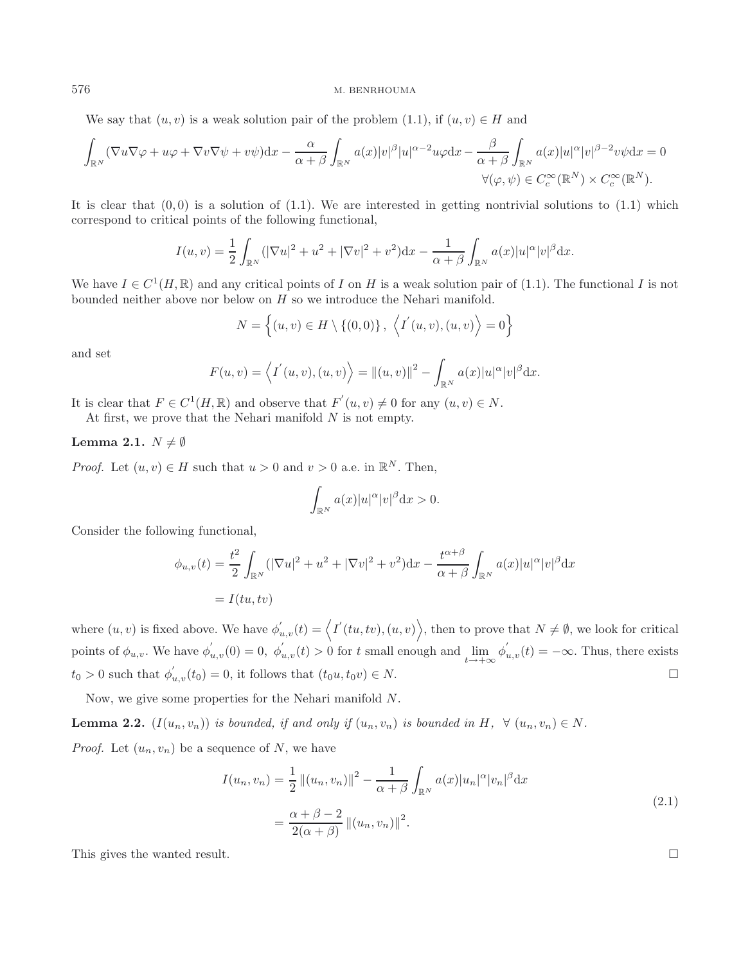#### 576 M. BENRHOUMA

We say that  $(u, v)$  is a weak solution pair of the problem (1.1), if  $(u, v) \in H$  and

$$
\int_{\mathbb{R}^N} (\nabla u \nabla \varphi + u \varphi + \nabla v \nabla \psi + v \psi) dx - \frac{\alpha}{\alpha + \beta} \int_{\mathbb{R}^N} a(x) |v|^{\beta} |u|^{\alpha - 2} u \varphi dx - \frac{\beta}{\alpha + \beta} \int_{\mathbb{R}^N} a(x) |u|^{\alpha} |v|^{\beta - 2} v \psi dx = 0
$$
  

$$
\forall (\varphi, \psi) \in C_c^{\infty}(\mathbb{R}^N) \times C_c^{\infty}(\mathbb{R}^N).
$$

It is clear that  $(0, 0)$  is a solution of  $(1.1)$ . We are interested in getting nontrivial solutions to  $(1.1)$  which correspond to critical points of the following functional,

$$
I(u, v) = \frac{1}{2} \int_{\mathbb{R}^N} (|\nabla u|^2 + u^2 + |\nabla v|^2 + v^2) dx - \frac{1}{\alpha + \beta} \int_{\mathbb{R}^N} a(x) |u|^\alpha |v|^\beta dx.
$$

We have  $I \in C^1(H,\mathbb{R})$  and any critical points of I on H is a weak solution pair of (1.1). The functional I is not bounded neither above nor below on  $H$  so we introduce the Nehari manifold.

$$
N = \{(u, v) \in H \setminus \{(0, 0)\}, \langle I'(u, v), (u, v) \rangle = 0\}
$$

and set

$$
F(u, v) = \langle I^{'}(u, v), (u, v) \rangle = ||(u, v)||^{2} - \int_{\mathbb{R}^{N}} a(x)|u|^{\alpha}|v|^{\beta} dx.
$$

It is clear that  $F \in C^1(H, \mathbb{R})$  and observe that  $F'(u, v) \neq 0$  for any  $(u, v) \in N$ .

At first, we prove that the Nehari manifold  $N$  is not empty.

## **Lemma 2.1.**  $N \neq \emptyset$

*Proof.* Let  $(u, v) \in H$  such that  $u > 0$  and  $v > 0$  a.e. in  $\mathbb{R}^N$ . Then,

$$
\int_{\mathbb{R}^N} a(x)|u|^{\alpha}|v|^{\beta}\mathrm{d}x > 0.
$$

Consider the following functional,

$$
\phi_{u,v}(t) = \frac{t^2}{2} \int_{\mathbb{R}^N} (|\nabla u|^2 + u^2 + |\nabla v|^2 + v^2) dx - \frac{t^{\alpha+\beta}}{\alpha+\beta} \int_{\mathbb{R}^N} a(x)|u|^\alpha |v|^\beta dx
$$
  
=  $I(tu, tv)$ 

where  $(u, v)$  is fixed above. We have  $\phi'_{u, v}(t) = \langle I'(tu, tv), (u, v) \rangle$ , then to prove that  $N \neq \emptyset$ , we look for critical points of  $\phi_{u,v}$ . We have  $\phi'_{u,v}(0) = 0$ ,  $\phi'_{u,v}(t) > 0$  for t small enough and  $\lim_{t \to +\infty} \phi'_{u,v}(t) = -\infty$ . Thus, there exists  $t_0 > 0$  such that  $\phi'_{u,v}(t_0) = 0$ , it follows that  $(t_0u, t_0v) \in N$ .  $\Box$ 

Now, we give some properties for the Nehari manifold N.

**Lemma 2.2.**  $(I(u_n, v_n))$  *is bounded, if and only if*  $(u_n, v_n)$  *is bounded in*  $H$ *,*  $\forall$   $(u_n, v_n) \in N$ *. Proof.* Let  $(u_n, v_n)$  be a sequence of N, we have

$$
I(u_n, v_n) = \frac{1}{2} ||(u_n, v_n)||^2 - \frac{1}{\alpha + \beta} \int_{\mathbb{R}^N} a(x) |u_n|^{\alpha} |v_n|^{\beta} dx
$$
  

$$
= \frac{\alpha + \beta - 2}{2(\alpha + \beta)} ||(u_n, v_n)||^2.
$$
 (2.1)

This gives the wanted result.  $\Box$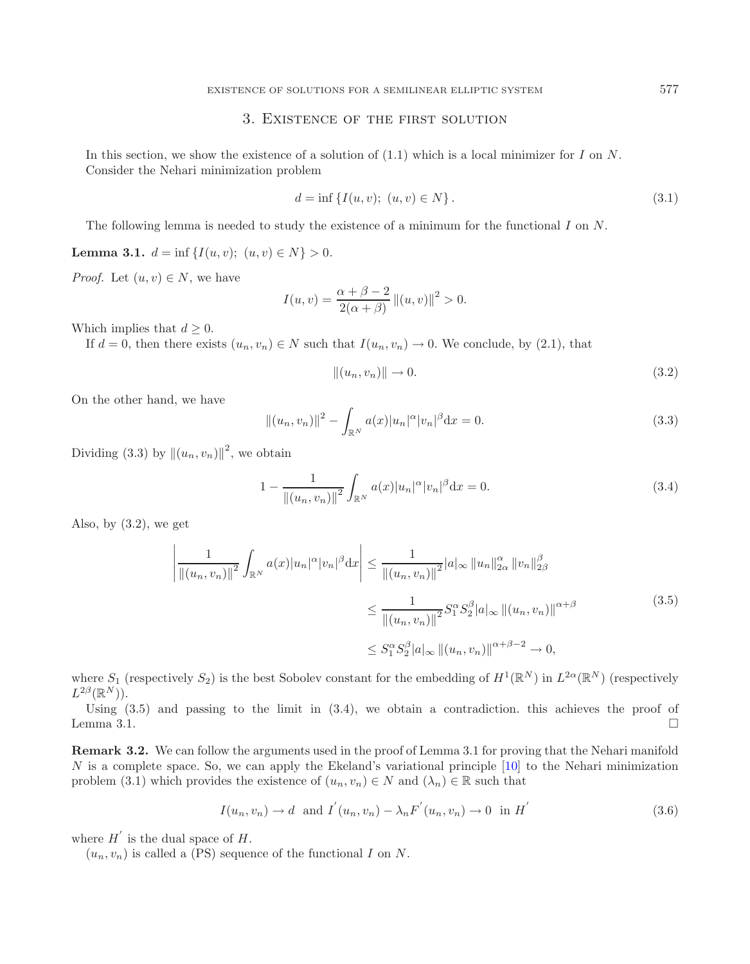# 3. Existence of the first solution

In this section, we show the existence of a solution of  $(1.1)$  which is a local minimizer for I on N. Consider the Nehari minimization problem

$$
d = \inf \{ I(u, v); \ (u, v) \in N \}.
$$
\n(3.1)

The following lemma is needed to study the existence of a minimum for the functional I on N.

**Lemma 3.1.**  $d = \inf \{I(u, v); (u, v) \in N\} > 0.$ 

*Proof.* Let  $(u, v) \in N$ , we have

$$
I(u, v) = \frac{\alpha + \beta - 2}{2(\alpha + \beta)} ||(u, v)||^{2} > 0.
$$

Which implies that  $d \geq 0$ .

If  $d = 0$ , then there exists  $(u_n, v_n) \in N$  such that  $I(u_n, v_n) \to 0$ . We conclude, by (2.1), that

$$
||(u_n, v_n)|| \rightarrow 0. \tag{3.2}
$$

On the other hand, we have

$$
||(u_n, v_n)||^2 - \int_{\mathbb{R}^N} a(x)|u_n|^{\alpha} |v_n|^{\beta} dx = 0.
$$
\n(3.3)

Dividing (3.3) by  $\left\|(u_n, v_n)\right\|^2$ , we obtain

$$
1 - \frac{1}{\|(u_n, v_n)\|^2} \int_{\mathbb{R}^N} a(x)|u_n|^\alpha |v_n|^\beta \mathrm{d}x = 0.
$$
 (3.4)

Also, by  $(3.2)$ , we get

$$
\left| \frac{1}{\|(u_n, v_n)\|^2} \int_{\mathbb{R}^N} a(x) |u_n|^\alpha |v_n|^\beta \mathrm{d}x \right| \leq \frac{1}{\|(u_n, v_n)\|^2} |a|_\infty \|u_n\|_{2\alpha}^\alpha \|v_n\|_{2\beta}^\beta
$$
\n
$$
\leq \frac{1}{\|(u_n, v_n)\|^2} S_1^\alpha S_2^\beta |a|_\infty \|(u_n, v_n)\|^{\alpha+\beta}
$$
\n
$$
\leq S_1^\alpha S_2^\beta |a|_\infty \|(u_n, v_n)\|^{\alpha+\beta-2} \to 0,
$$
\n(3.5)

where  $S_1$  (respectively  $S_2$ ) is the best Sobolev constant for the embedding of  $H^1(\mathbb{R}^N)$  in  $L^{2\alpha}(\mathbb{R}^N)$  (respectively  $L^{2\beta}(\mathbb{R}^N)$ ).

Using  $(3.5)$  and passing to the limit in  $(3.4)$ , we obtain a contradiction. this achieves the proof of Lemma 3.1.  $\Box$ 

**Remark 3.2.** We can follow the arguments used in the proof of Lemma 3.1 for proving that the Nehari manifold N is a complete space. So, we can apply the Ekeland's variational principle [\[10\]](#page-12-17) to the Nehari minimization problem (3.1) which provides the existence of  $(u_n, v_n) \in N$  and  $(\lambda_n) \in \mathbb{R}$  such that

$$
I(u_n, v_n) \to d \quad \text{and} \quad I^{'}(u_n, v_n) - \lambda_n F^{'}(u_n, v_n) \to 0 \quad \text{in} \quad H^{'} \tag{3.6}
$$

where  $H'$  is the dual space of  $H$ .

 $(u_n, v_n)$  is called a (PS) sequence of the functional I on N.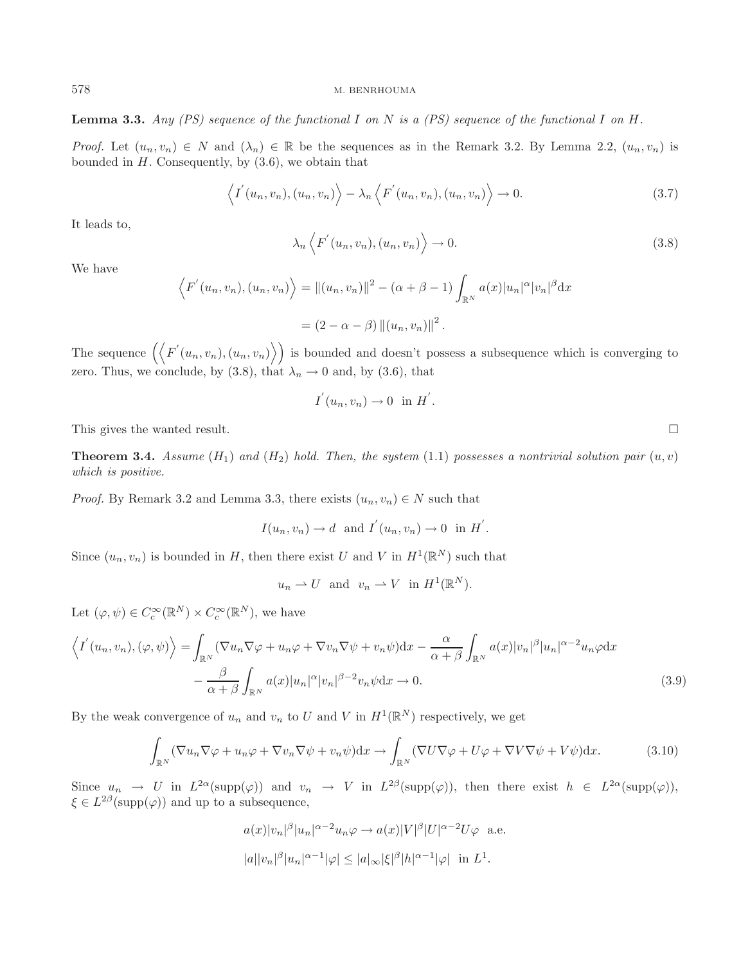**Lemma 3.3.** *Any (PS) sequence of the functional* I *on* N *is a (PS) sequence of the functional* I *on* H*.*

*Proof.* Let  $(u_n, v_n) \in N$  and  $(\lambda_n) \in \mathbb{R}$  be the sequences as in the Remark 3.2. By Lemma 2.2,  $(u_n, v_n)$  is bounded in  $H$ . Consequently, by  $(3.6)$ , we obtain that

$$
\langle I'(u_n, v_n), (u_n, v_n) \rangle - \lambda_n \langle F'(u_n, v_n), (u_n, v_n) \rangle \to 0.
$$
\n(3.7)

It leads to,

$$
\lambda_n \left\langle F'(u_n, v_n), (u_n, v_n) \right\rangle \to 0. \tag{3.8}
$$

We have

$$
\langle F'(u_n, v_n), (u_n, v_n) \rangle = ||(u_n, v_n)||^2 - (\alpha + \beta - 1) \int_{\mathbb{R}^N} a(x)|u_n|^{\alpha} |v_n|^{\beta} dx
$$

$$
= (2 - \alpha - \beta) ||(u_n, v_n)||^2.
$$

The sequence  $(\langle F'(u_n, v_n), (u_n, v_n) \rangle)$  is bounded and doesn't possess a subsequence which is converging to zero. Thus, we conclude, by (3.8), that  $\lambda_n \to 0$  and, by (3.6), that

$$
I^{'}(u_n,v_n)\to 0 \text{ in } H^{'}.
$$

This gives the wanted result.

**Theorem 3.4.** *Assume*  $(H_1)$  *and*  $(H_2)$  *hold. Then, the system*  $(1.1)$  *possesses a nontrivial solution pair*  $(u, v)$ *which is positive.*

*Proof.* By Remark 3.2 and Lemma 3.3, there exists  $(u_n, v_n) \in N$  such that

$$
I(u_n, v_n) \to d
$$
 and  $I'(u_n, v_n) \to 0$  in  $H'.$ 

Since  $(u_n, v_n)$  is bounded in H, then there exist U and V in  $H^1(\mathbb{R}^N)$  such that

$$
u_n \rightharpoonup U
$$
 and  $v_n \rightharpoonup V$  in  $H^1(\mathbb{R}^N)$ .

Let  $(\varphi, \psi) \in C_c^{\infty}(\mathbb{R}^N) \times C_c^{\infty}(\mathbb{R}^N)$ , we have

$$
\left\langle I^{'}(u_{n},v_{n}),(\varphi,\psi)\right\rangle = \int_{\mathbb{R}^{N}}\left(\nabla u_{n}\nabla\varphi + u_{n}\varphi + \nabla v_{n}\nabla\psi + v_{n}\psi\right)dx - \frac{\alpha}{\alpha + \beta}\int_{\mathbb{R}^{N}}a(x)|v_{n}|^{\beta}|u_{n}|^{\alpha-2}u_{n}\varphi dx
$$

$$
-\frac{\beta}{\alpha + \beta}\int_{\mathbb{R}^{N}}a(x)|u_{n}|^{\alpha}|v_{n}|^{\beta-2}v_{n}\psi dx \to 0.
$$
(3.9)

By the weak convergence of  $u_n$  and  $v_n$  to U and V in  $H^1(\mathbb{R}^N)$  respectively, we get

$$
\int_{\mathbb{R}^N} (\nabla u_n \nabla \varphi + u_n \varphi + \nabla v_n \nabla \psi + v_n \psi) dx \to \int_{\mathbb{R}^N} (\nabla U \nabla \varphi + U \varphi + \nabla V \nabla \psi + V \psi) dx.
$$
 (3.10)

Since  $u_n \to U$  in  $L^{2\alpha}(\text{supp}(\varphi))$  and  $v_n \to V$  in  $L^{2\beta}(\text{supp}(\varphi))$ , then there exist  $h \in L^{2\alpha}(\text{supp}(\varphi))$ ,  $\xi \in L^{2\beta}(\text{supp}(\varphi))$  and up to a subsequence,

$$
a(x)|v_n|^{\beta}|u_n|^{\alpha-2}u_n\varphi \to a(x)|V|^{\beta}|U|^{\alpha-2}U\varphi
$$
 a.e.  

$$
|a||v_n|^{\beta}|u_n|^{\alpha-1}|\varphi| \le |a|_{\infty}|\xi|^{\beta}|h|^{\alpha-1}|\varphi| \text{ in } L^1.
$$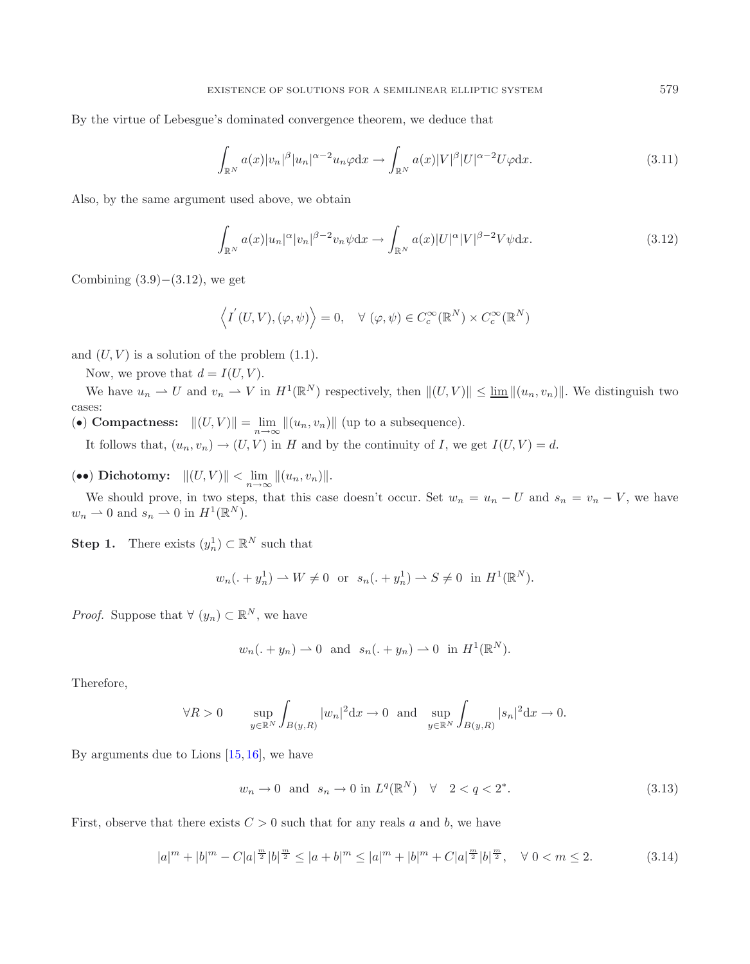By the virtue of Lebesgue's dominated convergence theorem, we deduce that

$$
\int_{\mathbb{R}^N} a(x)|v_n|^{\beta} |u_n|^{\alpha-2} u_n \varphi \mathrm{d}x \to \int_{\mathbb{R}^N} a(x)|V|^{\beta} |U|^{\alpha-2} U \varphi \mathrm{d}x. \tag{3.11}
$$

Also, by the same argument used above, we obtain

$$
\int_{\mathbb{R}^N} a(x)|u_n|^\alpha |v_n|^{\beta - 2} v_n \psi \mathrm{d}x \to \int_{\mathbb{R}^N} a(x)|U|^\alpha |V|^{\beta - 2} V \psi \mathrm{d}x. \tag{3.12}
$$

Combining  $(3.9)–(3.12)$ , we get

$$
\langle I^{'}(U,V),(\varphi,\psi)\rangle = 0, \quad \forall (\varphi,\psi) \in C_c^{\infty}(\mathbb{R}^N) \times C_c^{\infty}(\mathbb{R}^N)
$$

and  $(U, V)$  is a solution of the problem  $(1.1)$ .

Now, we prove that  $d = I(U, V)$ .

We have  $u_n \rightharpoonup U$  and  $v_n \rightharpoonup V$  in  $H^1(\mathbb{R}^N)$  respectively, then  $||(U, V)|| \le \underline{\lim} ||(u_n, v_n)||$ . We distinguish two cases:

(•) **Compactness:**  $||(U, V)|| = \lim_{n \to \infty} ||(u_n, v_n)||$  (up to a subsequence).

It follows that,  $(u_n, v_n) \to (U, V)$  in H and by the continuity of I, we get  $I(U, V) = d$ .

(••) **Dichotomy:**  $||(U, V)|| < \lim_{n \to \infty} ||(u_n, v_n)||$ .

We should prove, in two steps, that this case doesn't occur. Set  $w_n = u_n - U$  and  $s_n = v_n - V$ , we have  $w_n \rightharpoonup 0$  and  $s_n \rightharpoonup 0$  in  $H^1(\mathbb{R}^N)$ .

**Step 1.** There exists  $(y_n^1) \subset \mathbb{R}^N$  such that

$$
w_n(. + y_n^1) \to W \neq 0
$$
 or  $s_n(. + y_n^1) \to S \neq 0$  in  $H^1(\mathbb{R}^N)$ .

*Proof.* Suppose that  $\forall (y_n) \subset \mathbb{R}^N$ , we have

$$
w_n(. + y_n) \rightharpoonup 0
$$
 and  $s_n(. + y_n) \rightharpoonup 0$  in  $H^1(\mathbb{R}^N)$ .

Therefore,

$$
\forall R>0 \quad \sup_{y\in\mathbb{R}^N}\int_{B(y,R)}|w_n|^2\mathrm{d} x\to 0 \text{ and } \sup_{y\in\mathbb{R}^N}\int_{B(y,R)}|s_n|^2\mathrm{d} x\to 0.
$$

By arguments due to Lions  $[15, 16]$  $[15, 16]$  $[15, 16]$ , we have

$$
w_n \to 0 \quad \text{and} \quad s_n \to 0 \text{ in } L^q(\mathbb{R}^N) \quad \forall \quad 2 < q < 2^* \tag{3.13}
$$

First, observe that there exists  $C > 0$  such that for any reals a and b, we have

$$
|a|^m + |b|^m - C|a|^{\frac{m}{2}} |b|^{\frac{m}{2}} \le |a+b|^m \le |a|^m + |b|^m + C|a|^{\frac{m}{2}} |b|^{\frac{m}{2}}, \quad \forall \ 0 < m \le 2. \tag{3.14}
$$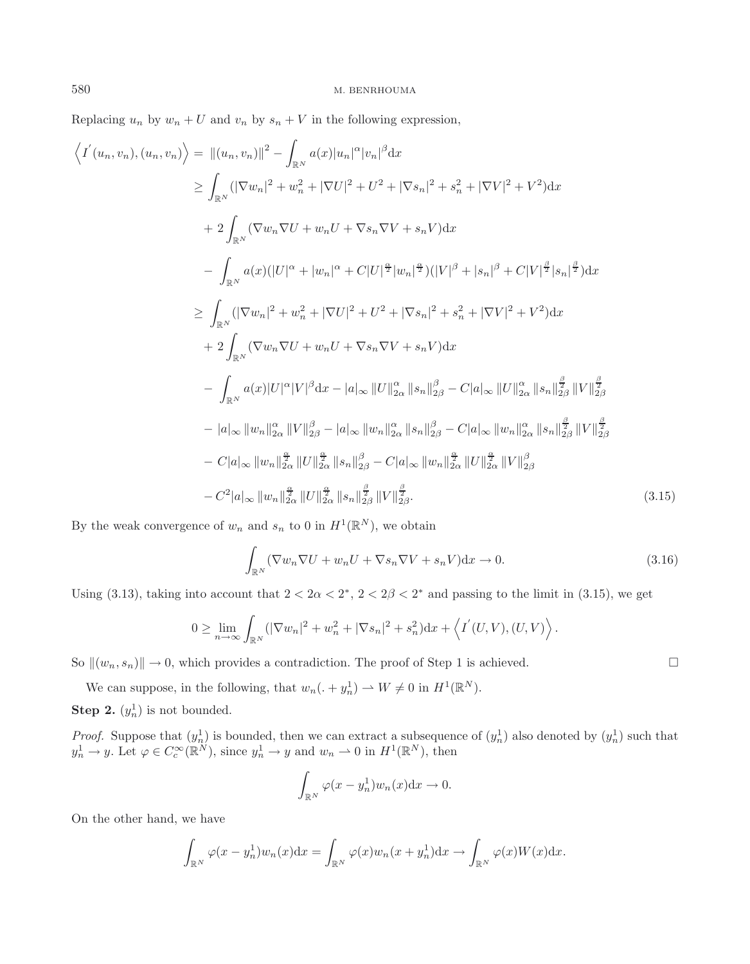Replacing  $u_n$  by  $w_n + U$  and  $v_n$  by  $s_n + V$  in the following expression,

$$
\langle I'(u_n, v_n), (u_n, v_n) \rangle = ||(u_n, v_n)||^2 - \int_{\mathbb{R}^N} a(x)|u_n|^{\alpha}|v_n|^{\beta} dx
$$
  
\n
$$
\geq \int_{\mathbb{R}^N} (\nabla w_n|^2 + w_n^2 + |\nabla U|^2 + U^2 + |\nabla s_n|^2 + s_n^2 + |\nabla V|^2 + V^2) dx
$$
  
\n
$$
+ 2 \int_{\mathbb{R}^N} (\nabla w_n \nabla U + w_n U + \nabla s_n \nabla V + s_n V) dx
$$
  
\n
$$
- \int_{\mathbb{R}^N} a(x)(|U|^{\alpha} + |w_n|^{\alpha} + C|U|^{\frac{\alpha}{2}}|w_n|^{\frac{\alpha}{2}})(|V|^{\beta} + |s_n|^{\beta} + C|V|^{\frac{\beta}{2}}|s_n|^{\frac{\beta}{2}}) dx
$$
  
\n
$$
\geq \int_{\mathbb{R}^N} (|\nabla w_n|^2 + w_n^2 + |\nabla U|^2 + U^2 + |\nabla s_n|^2 + s_n^2 + |\nabla V|^2 + V^2) dx
$$
  
\n
$$
+ 2 \int_{\mathbb{R}^N} (\nabla w_n \nabla U + w_n U + \nabla s_n \nabla V + s_n V) dx
$$
  
\n
$$
- \int_{\mathbb{R}^N} a(x)|U|^{\alpha}|V|^{\beta} dx - |a|_{\infty} ||U||_{2\alpha}^{\alpha} ||s_n||_{2\beta}^{\beta} - C|a|_{\infty} ||U||_{2\alpha}^{\alpha} ||s_n||_{2\beta}^{\frac{\beta}{2}} ||V||_{2\beta}^{\frac{\beta}{2}}
$$
  
\n
$$
- |a|_{\infty} ||w_n||_{2\alpha}^{\alpha} ||V||_{2\alpha}^{\beta} - |a|_{\infty} ||w_n||_{2\alpha}^{\alpha} ||s_n||_{2\beta}^{\beta} - C|a|_{\infty} ||w_n||_{2\alpha}^{\alpha} ||s_n||_{2\beta}^{\frac{\beta}{2}}
$$
  
\n
$$
- C|a|_{\infty} ||w_n||_{2\alpha}^{\frac{\alpha}{2}} ||U||_{2\alpha}^{\frac{\alpha}{2}} ||s_n||_{2\beta}^{\frac{\beta}{
$$

By the weak convergence of  $w_n$  and  $s_n$  to 0 in  $H^1(\mathbb{R}^N)$ , we obtain

$$
\int_{\mathbb{R}^N} (\nabla w_n \nabla U + w_n U + \nabla s_n \nabla V + s_n V) \, dx \to 0. \tag{3.16}
$$

Using (3.13), taking into account that  $2 < 2\alpha < 2^*$ ,  $2 < 2\beta < 2^*$  and passing to the limit in (3.15), we get

$$
0 \geq \lim_{n \to \infty} \int_{\mathbb{R}^N} (|\nabla w_n|^2 + w_n^2 + |\nabla s_n|^2 + s_n^2) dx + \langle I'(U, V), (U, V) \rangle.
$$

So  $\|(w_n, s_n)\| \to 0$ , which provides a contradiction. The proof of Step 1 is achieved.

We can suppose, in the following, that  $w_n(. + y_n^1) \rightharpoonup W \neq 0$  in  $H^1(\mathbb{R}^N)$ . **Step 2.**  $(y_n^1)$  is not bounded.

*Proof.* Suppose that  $(y_n^1)$  is bounded, then we can extract a subsequence of  $(y_n^1)$  also denoted by  $(y_n^1)$  such that  $y_n^1 \to y$ . Let  $\varphi \in C_c^{\infty}(\mathbb{R}^N)$ , since  $y_n^1 \to y$  and  $w_n \to 0$  in  $H^1(\mathbb{R}^N)$ , then

$$
\int_{\mathbb{R}^N} \varphi(x - y_n^1) w_n(x) \mathrm{d} x \to 0.
$$

On the other hand, we have

$$
\int_{\mathbb{R}^N} \varphi(x - y_n^1) w_n(x) dx = \int_{\mathbb{R}^N} \varphi(x) w_n(x + y_n^1) dx \to \int_{\mathbb{R}^N} \varphi(x) W(x) dx.
$$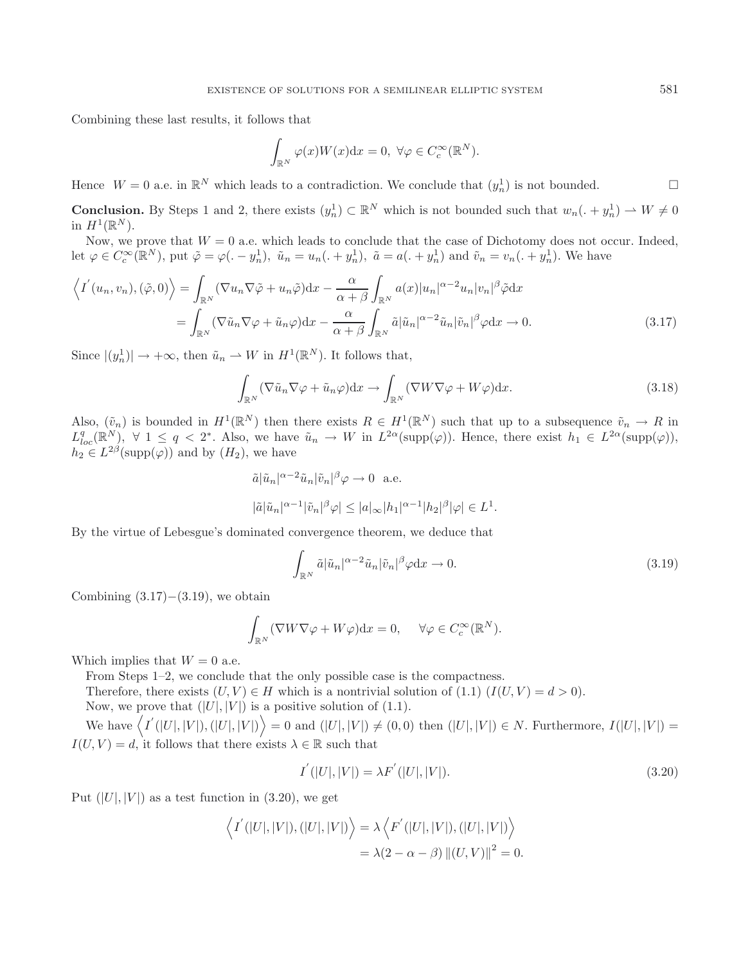Combining these last results, it follows that

$$
\int_{\mathbb{R}^N} \varphi(x)W(x) \mathrm{d}x = 0, \ \forall \varphi \in C_c^{\infty}(\mathbb{R}^N).
$$

Hence  $W = 0$  a.e. in  $\mathbb{R}^N$  which leads to a contradiction. We conclude that  $(y_n^1)$  is not bounded.

**Conclusion.** By Steps 1 and 2, there exists  $(y_n^1) \subset \mathbb{R}^N$  which is not bounded such that  $w_n(. + y_n^1) \to W \neq 0$ in  $H^1(\mathbb{R}^N)$ .

Now, we prove that  $W = 0$  a.e. which leads to conclude that the case of Dichotomy does not occur. Indeed, let  $\varphi \in C_c^{\infty}(\mathbb{R}^N)$ , put  $\tilde{\varphi} = \varphi(. - y_n^1)$ ,  $\tilde{u}_n = u_n(. + y_n^1)$ ,  $\tilde{a} = a(. + y_n^1)$  and  $\tilde{v}_n = v_n(. + y_n^1)$ . We have

$$
\left\langle I^{'}(u_{n}, v_{n}), (\tilde{\varphi}, 0) \right\rangle = \int_{\mathbb{R}^{N}} (\nabla u_{n} \nabla \tilde{\varphi} + u_{n} \tilde{\varphi}) dx - \frac{\alpha}{\alpha + \beta} \int_{\mathbb{R}^{N}} a(x) |u_{n}|^{\alpha - 2} u_{n} |v_{n}|^{\beta} \tilde{\varphi} dx
$$

$$
= \int_{\mathbb{R}^{N}} (\nabla \tilde{u}_{n} \nabla \varphi + \tilde{u}_{n} \varphi) dx - \frac{\alpha}{\alpha + \beta} \int_{\mathbb{R}^{N}} \tilde{a} |\tilde{u}_{n}|^{\alpha - 2} \tilde{u}_{n} |\tilde{v}_{n}|^{\beta} \varphi dx \to 0.
$$
(3.17)

Since  $|(y_n^1)| \to +\infty$ , then  $\tilde{u}_n \to W$  in  $H^1(\mathbb{R}^N)$ . It follows that,

$$
\int_{\mathbb{R}^N} (\nabla \tilde{u}_n \nabla \varphi + \tilde{u}_n \varphi) dx \to \int_{\mathbb{R}^N} (\nabla W \nabla \varphi + W \varphi) dx.
$$
\n(3.18)

Also,  $(\tilde{v}_n)$  is bounded in  $H^1(\mathbb{R}^N)$  then there exists  $R \in H^1(\mathbb{R}^N)$  such that up to a subsequence  $\tilde{v}_n \to R$  in  $L^q_{loc}(\mathbb{R}^N)$ ,  $\forall$  1  $\leq q < 2^*$ . Also, we have  $\tilde{u}_n \to W$  in  $L^{2\alpha}(\text{supp}(\varphi))$ . Hence, there exist  $h_1 \in L^{2\alpha}(\text{supp}(\varphi))$ ,  $h_2 \in L^{2\beta}(\text{supp}(\varphi))$  and by  $(H_2)$ , we have

$$
\tilde{a}|\tilde{u}_n|^{\alpha-2}\tilde{u}_n|\tilde{v}_n|^{\beta}\varphi \to 0 \text{ a.e.}
$$
  

$$
|\tilde{a}|\tilde{u}_n|^{\alpha-1}|\tilde{v}_n|^{\beta}\varphi| \le |a|_{\infty}|h_1|^{\alpha-1}|h_2|^{\beta}|\varphi| \in L^1.
$$

By the virtue of Lebesgue's dominated convergence theorem, we deduce that

$$
\int_{\mathbb{R}^N} \tilde{a} |\tilde{u}_n|^{\alpha-2} \tilde{u}_n |\tilde{v}_n|^\beta \varphi \, \mathrm{d}x \to 0. \tag{3.19}
$$

Combining  $(3.17)–(3.19)$ , we obtain

$$
\int_{\mathbb{R}^N} (\nabla W \nabla \varphi + W \varphi) dx = 0, \quad \forall \varphi \in C_c^{\infty}(\mathbb{R}^N).
$$

Which implies that  $W = 0$  a.e.

From Steps 1–2, we conclude that the only possible case is the compactness.

Therefore, there exists  $(U, V) \in H$  which is a nontrivial solution of  $(1.1)$   $(I(U, V) = d > 0)$ .

Now, we prove that  $(|U|, |V|)$  is a positive solution of (1.1).

We have  $\langle I'(|U|, |V|),(|U|, |V|) \rangle = 0$  and  $(|U|, |V|) \neq (0, 0)$  then  $(|U|, |V|) \in N$ . Furthermore,  $I(|U|, |V|) =$  $I(U, V) = d$ , it follows that there exists  $\lambda \in \mathbb{R}$  such that

$$
I^{'}(|U|,|V|) = \lambda F^{'}(|U|,|V|). \tag{3.20}
$$

Put  $(|U|, |V|)$  as a test function in  $(3.20)$ , we get

$$
\langle I^{'}(|U|,|V|),(|U|,|V|)\rangle = \lambda \langle F^{'}(|U|,|V|),(|U|,|V|)\rangle
$$
  
=  $\lambda(2-\alpha-\beta) ||(U,V)||^2 = 0.$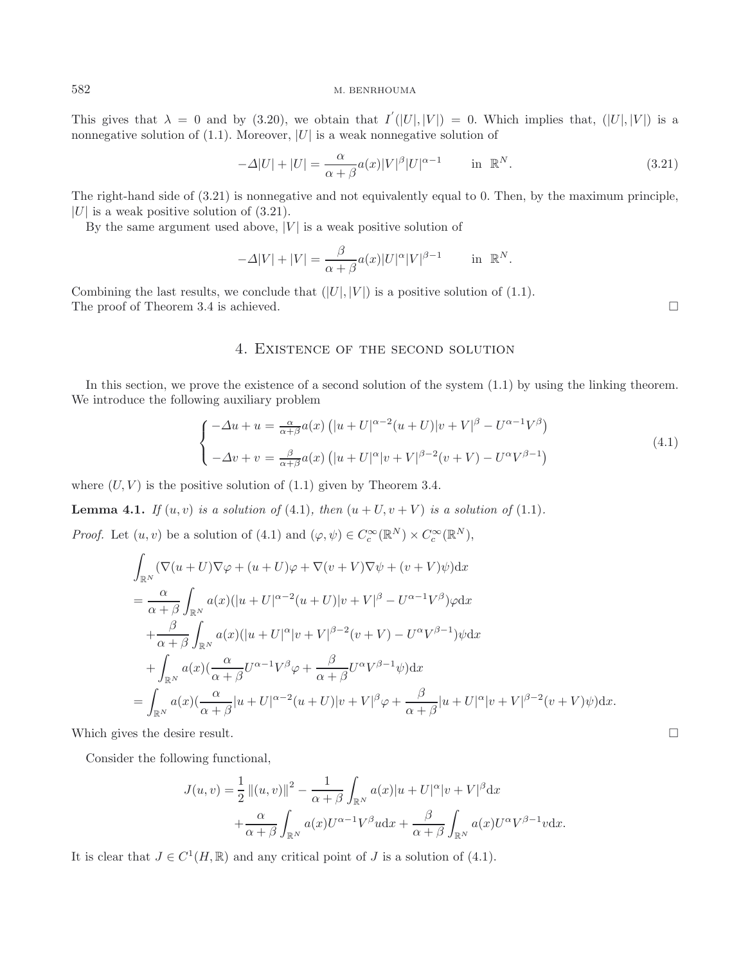#### 582 M. BENRHOUMA

This gives that  $\lambda = 0$  and by (3.20), we obtain that  $I'(|U|, |V|) = 0$ . Which implies that,  $(|U|, |V|)$  is a nonnegative solution of  $(1.1)$ . Moreover, |U| is a weak nonnegative solution of

$$
-\Delta|U| + |U| = \frac{\alpha}{\alpha + \beta} a(x)|V|^{\beta}|U|^{\alpha - 1} \quad \text{in } \mathbb{R}^N. \tag{3.21}
$$

The right-hand side of (3.21) is nonnegative and not equivalently equal to 0. Then, by the maximum principle,  $|U|$  is a weak positive solution of  $(3.21)$ .

By the same argument used above,  $|V|$  is a weak positive solution of

$$
-\Delta|V| + |V| = \frac{\beta}{\alpha + \beta} a(x)|U|^{\alpha}|V|^{\beta - 1} \quad \text{in } \mathbb{R}^N.
$$

Combining the last results, we conclude that  $(|U|, |V|)$  is a positive solution of (1.1). The proof of Theorem 3.4 is achieved.  $\Box$ 

## 4. Existence of the second solution

In this section, we prove the existence of a second solution of the system (1.1) by using the linking theorem. We introduce the following auxiliary problem

$$
\begin{cases}\n-\Delta u + u = \frac{\alpha}{\alpha + \beta} a(x) \left( |u + U|^{\alpha - 2} (u + U) |v + V|^{\beta} - U^{\alpha - 1} V^{\beta} \right) \\
-\Delta v + v = \frac{\beta}{\alpha + \beta} a(x) \left( |u + U|^{\alpha} |v + V|^{\beta - 2} (v + V) - U^{\alpha} V^{\beta - 1} \right)\n\end{cases} (4.1)
$$

where  $(U, V)$  is the positive solution of  $(1.1)$  given by Theorem 3.4.

**Lemma 4.1.** *If*  $(u, v)$  *is a solution of* (4.1)*, then*  $(u + U, v + V)$  *is a solution of* (1.1)*.* 

*Proof.* Let  $(u, v)$  be a solution of  $(4.1)$  and  $(\varphi, \psi) \in C_c^{\infty}(\mathbb{R}^N) \times C_c^{\infty}(\mathbb{R}^N)$ ,

$$
\int_{\mathbb{R}^N} (\nabla (u+U)\nabla \varphi + (u+U)\varphi + \nabla (v+V)\nabla \psi + (v+V)\psi) dx
$$
\n
$$
= \frac{\alpha}{\alpha+\beta} \int_{\mathbb{R}^N} a(x)(|u+U|^{\alpha-2}(u+U)|v+V|^{\beta} - U^{\alpha-1}V^{\beta})\varphi dx
$$
\n
$$
+ \frac{\beta}{\alpha+\beta} \int_{\mathbb{R}^N} a(x)(|u+U|^{\alpha}|v+V|^{\beta-2}(v+V) - U^{\alpha}V^{\beta-1})\psi dx
$$
\n
$$
+ \int_{\mathbb{R}^N} a(x)(\frac{\alpha}{\alpha+\beta}U^{\alpha-1}V^{\beta}\varphi + \frac{\beta}{\alpha+\beta}U^{\alpha}V^{\beta-1}\psi) dx
$$
\n
$$
= \int_{\mathbb{R}^N} a(x)(\frac{\alpha}{\alpha+\beta}|u+U|^{\alpha-2}(u+U)|v+V|^{\beta}\varphi + \frac{\beta}{\alpha+\beta}|u+U|^{\alpha}|v+V|^{\beta-2}(v+V)\psi) dx.
$$

Which gives the desire result.  $\Box$ 

Consider the following functional,

$$
J(u,v) = \frac{1}{2} ||(u,v)||^2 - \frac{1}{\alpha + \beta} \int_{\mathbb{R}^N} a(x)|u + U|^{\alpha} |v + V|^{\beta} dx
$$

$$
+ \frac{\alpha}{\alpha + \beta} \int_{\mathbb{R}^N} a(x)U^{\alpha-1}V^{\beta} u dx + \frac{\beta}{\alpha + \beta} \int_{\mathbb{R}^N} a(x)U^{\alpha}V^{\beta-1} v dx.
$$

It is clear that  $J \in C^1(H, \mathbb{R})$  and any critical point of J is a solution of (4.1).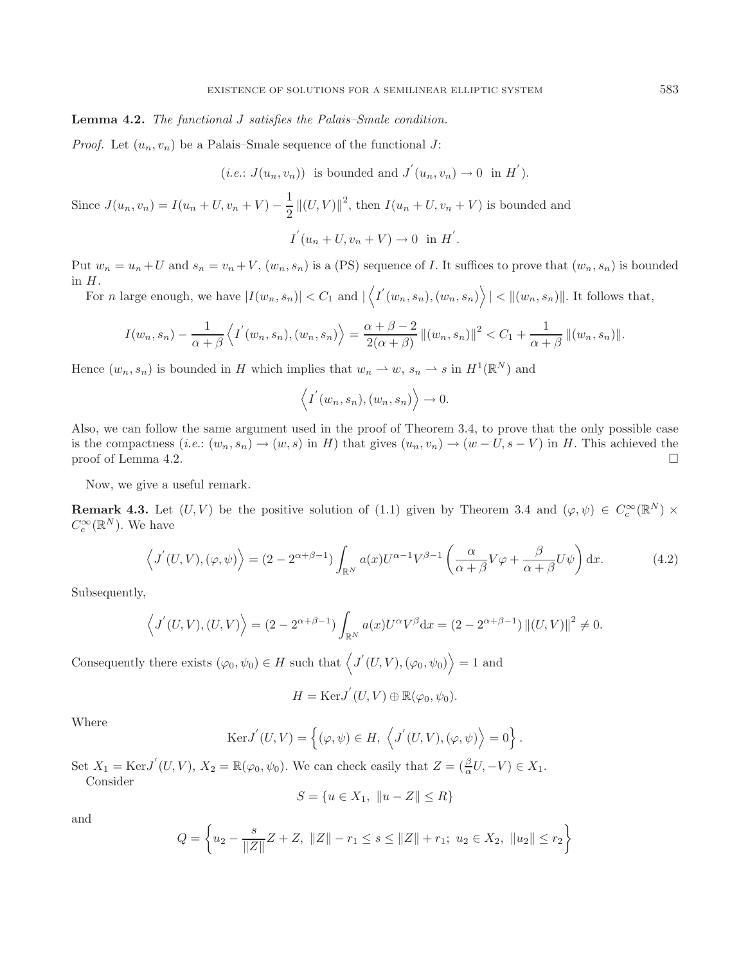#### **Lemma 4.2.** *The functional* J *satisfies the Palais–Smale condition.*

*Proof.* Let  $(u_n, v_n)$  be a Palais–Smale sequence of the functional J:

 $(i.e.: J(u_n, v_n))$  is bounded and  $J'(u_n, v_n) \to 0$  in  $H'$ .

Since  $J(u_n, v_n) = I(u_n + U, v_n + V) - \frac{1}{2} ||(U, V)||^2$ , then  $I(u_n + U, v_n + V)$  is bounded and

 $I^{'}(u_{n}+U,v_{n}+V)\to 0 \text{ in } H^{'}$ .

Put  $w_n = u_n + U$  and  $s_n = v_n + V$ ,  $(w_n, s_n)$  is a (PS) sequence of I. It suffices to prove that  $(w_n, s_n)$  is bounded in  $H$ .

For n large enough, we have  $|I(w_n, s_n)| < C_1$  and  $|\langle I'(w_n, s_n), (w_n, s_n) \rangle| < ||(w_n, s_n)||$ . It follows that,

$$
I(w_n, s_n) - \frac{1}{\alpha + \beta} \left\langle I^{'}(w_n, s_n), (w_n, s_n) \right\rangle = \frac{\alpha + \beta - 2}{2(\alpha + \beta)} ||(w_n, s_n)||^2 < C_1 + \frac{1}{\alpha + \beta} ||(w_n, s_n)||^2.
$$

Hence  $(w_n, s_n)$  is bounded in H which implies that  $w_n \to w$ ,  $s_n \to s$  in  $H^1(\mathbb{R}^N)$  and

$$
\langle I'(w_n, s_n), (w_n, s_n) \rangle \to 0.
$$

Also, we can follow the same argument used in the proof of Theorem 3.4, to prove that the only possible case is the compactness  $(i.e. : (w_n, s_n) \to (w, s)$  in H) that gives  $(u_n, v_n) \to (w - U, s - V)$  in H. This achieved the proof of Lemma 4.2.  $\Box$ 

Now, we give a useful remark.

**Remark 4.3.** Let  $(U, V)$  be the positive solution of (1.1) given by Theorem 3.4 and  $(\varphi, \psi) \in C_c^{\infty}(\mathbb{R}^N) \times$  $C_c^{\infty}(\mathbb{R}^N)$ . We have

$$
\left\langle J'(U,V),(\varphi,\psi)\right\rangle = (2 - 2^{\alpha+\beta-1}) \int_{\mathbb{R}^N} a(x) U^{\alpha-1} V^{\beta-1} \left(\frac{\alpha}{\alpha+\beta} V \varphi + \frac{\beta}{\alpha+\beta} U \psi\right) dx.
$$
 (4.2)

Subsequently,

$$
\langle J'(U,V), (U,V) \rangle = (2 - 2^{\alpha + \beta - 1}) \int_{\mathbb{R}^N} a(x) U^{\alpha} V^{\beta} dx = (2 - 2^{\alpha + \beta - 1}) ||(U,V)||^2 \neq 0.
$$

Consequently there exists  $(\varphi_0, \psi_0) \in H$  such that  $\langle J'(U, V), (\varphi_0, \psi_0) \rangle = 1$  and

$$
H = \text{Ker} J'(U, V) \oplus \mathbb{R}(\varphi_0, \psi_0).
$$

Where

$$
Ker J'(U, V) = \left\{ (\varphi, \psi) \in H, \left\langle J'(U, V), (\varphi, \psi) \right\rangle = 0 \right\}.
$$

Set  $X_1 = \text{Ker} J'(U, V)$ ,  $X_2 = \mathbb{R}(\varphi_0, \psi_0)$ . We can check easily that  $Z = (\frac{\beta}{\alpha}U, -V) \in X_1$ . Consider

$$
S = \{ u \in X_1, \ \|u - Z\| \le R \}
$$

and

$$
Q = \left\{ u_2 - \frac{s}{\|Z\|} Z + Z, \ \|Z\| - r_1 \le s \le \|Z\| + r_1; \ u_2 \in X_2, \ \|u_2\| \le r_2 \right\}
$$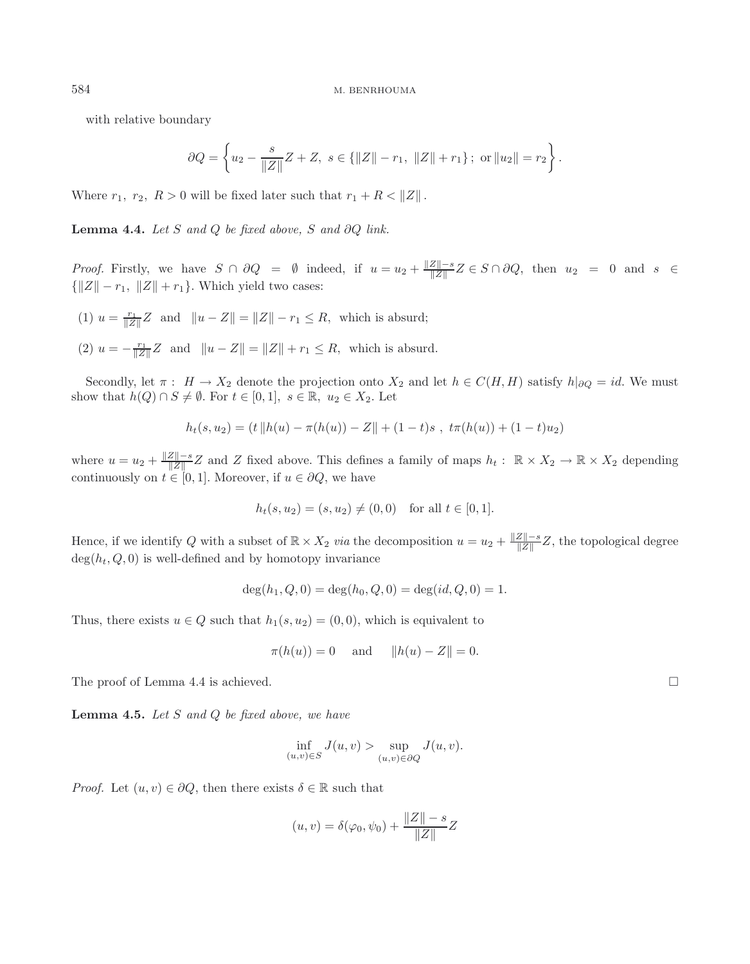with relative boundary

$$
\partial Q = \left\{ u_2 - \frac{s}{\|Z\|} Z + Z, \ s \in \{\|Z\| - r_1, \ \|Z\| + r_1\}; \text{ or } \|u_2\| = r_2 \right\}.
$$

Where  $r_1$ ,  $r_2$ ,  $R > 0$  will be fixed later such that  $r_1 + R < ||Z||$ .

**Lemma 4.4.** *Let* S *and* Q *be fixed above,* S *and* ∂Q *link.*

*Proof.* Firstly, we have  $S \cap \partial Q = \emptyset$  indeed, if  $u = u_2 + \frac{\|Z\| - s}{\|Z\|} Z \in S \cap \partial Q$ , then  $u_2 = 0$  and  $s \in \mathbb{Z}$  $\{\|Z\| - r_1, \|Z\| + r_1\}.$  Which yield two cases:

- (1)  $u = \frac{r_1}{\|Z\|}Z$  and  $\|u Z\| = \|Z\| r_1 \le R$ , which is absurd;
- (2)  $u = -\frac{r_1}{\|Z\|}Z$  and  $\|u Z\| = \|Z\| + r_1 \le R$ , which is absurd.

Secondly, let  $\pi$ :  $H \to X_2$  denote the projection onto  $X_2$  and let  $h \in C(H, H)$  satisfy  $h|_{\partial Q} = id$ . We must show that  $h(Q) \cap S \neq \emptyset$ . For  $t \in [0,1], s \in \mathbb{R}, u_2 \in X_2$ . Let

$$
h_t(s, u_2) = (t \| h(u) - \pi(h(u)) - Z \| + (1 - t)s , \ t\pi(h(u)) + (1 - t)u_2)
$$

where  $u = u_2 + \frac{\|Z\| - s}{\|Z\|} Z$  and Z fixed above. This defines a family of maps  $h_t : \mathbb{R} \times X_2 \to \mathbb{R} \times X_2$  depending continuously on  $t \in [0, 1]$ . Moreover, if  $u \in \partial Q$ , we have

$$
h_t(s, u_2) = (s, u_2) \neq (0, 0) \text{ for all } t \in [0, 1].
$$

Hence, if we identify Q with a subset of  $\mathbb{R} \times X_2$  *via* the decomposition  $u = u_2 + \frac{\|Z\| - s}{\|Z\|}Z$ , the topological degree  $deg(h_t, Q, 0)$  is well-defined and by homotopy invariance

$$
\deg(h_1, Q, 0) = \deg(h_0, Q, 0) = \deg(id, Q, 0) = 1.
$$

Thus, there exists  $u \in Q$  such that  $h_1(s, u_2) = (0, 0)$ , which is equivalent to

$$
\pi(h(u)) = 0
$$
 and  $||h(u) - Z|| = 0.$ 

The proof of Lemma 4.4 is achieved.

**Lemma 4.5.** *Let* S *and* Q *be fixed above, we have*

$$
\inf_{(u,v)\in S} J(u,v) > \sup_{(u,v)\in\partial Q} J(u,v).
$$

*Proof.* Let  $(u, v) \in \partial Q$ , then there exists  $\delta \in \mathbb{R}$  such that

$$
(u, v) = \delta(\varphi_0, \psi_0) + \frac{\|Z\| - s}{\|Z\|}Z
$$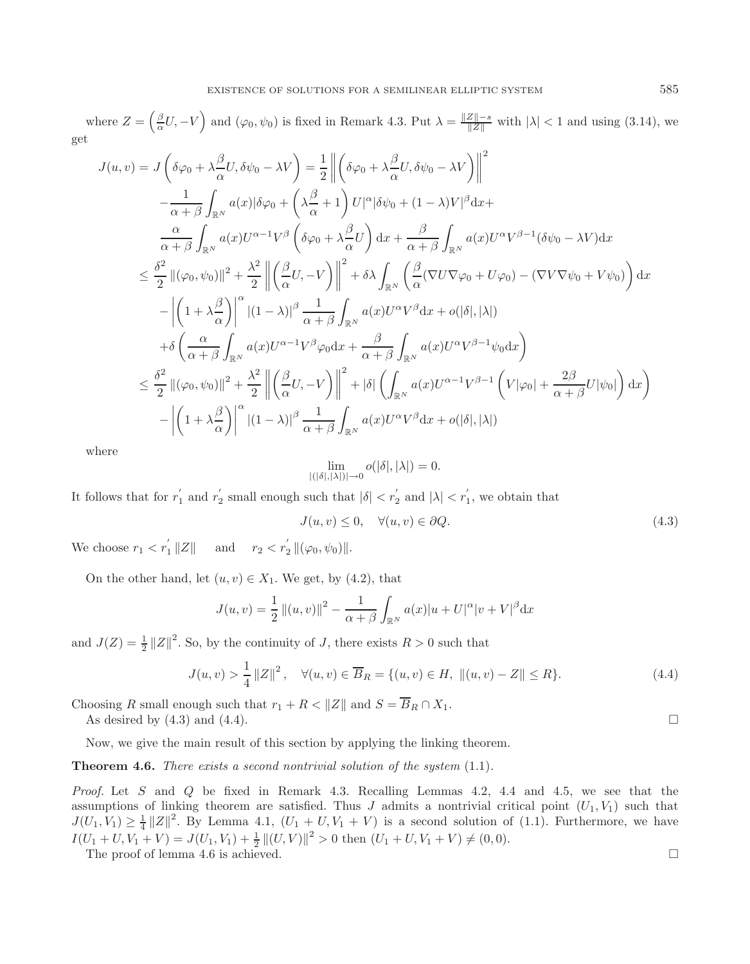where  $Z = \left(\frac{\beta}{\alpha}U, -V\right)$  and  $(\varphi_0, \psi_0)$  is fixed in Remark 4.3. Put  $\lambda = \frac{\|Z\| - s}{\|Z\|}$  with  $|\lambda| < 1$  and using (3.14), we get

$$
J(u, v) = J\left(\delta\varphi_0 + \lambda \frac{\beta}{\alpha} U, \delta\psi_0 - \lambda V\right) = \frac{1}{2} \left\| \left(\delta\varphi_0 + \lambda \frac{\beta}{\alpha} U, \delta\psi_0 - \lambda V\right) \right\|^2
$$
  

$$
- \frac{1}{\alpha + \beta} \int_{\mathbb{R}^N} a(x) |\delta\varphi_0 + \left(\lambda \frac{\beta}{\alpha} + 1\right) U|^\alpha |\delta\psi_0 + (1 - \lambda) V|^\beta dx +
$$
  

$$
\frac{\alpha}{\alpha + \beta} \int_{\mathbb{R}^N} a(x) U^{\alpha - 1} V^\beta \left(\delta\varphi_0 + \lambda \frac{\beta}{\alpha} U\right) dx + \frac{\beta}{\alpha + \beta} \int_{\mathbb{R}^N} a(x) U^\alpha V^{\beta - 1} (\delta\psi_0 - \lambda V) dx
$$
  

$$
\leq \frac{\delta^2}{2} ||(\varphi_0, \psi_0)||^2 + \frac{\lambda^2}{2} \left\| \left(\frac{\beta}{\alpha} U, -V\right) \right\|^2 + \delta\lambda \int_{\mathbb{R}^N} \left(\frac{\beta}{\alpha} (\nabla U \nabla \varphi_0 + U \varphi_0) - (\nabla V \nabla \psi_0 + V \psi_0) \right) dx
$$
  

$$
- \left| \left(1 + \lambda \frac{\beta}{\alpha}\right) \right|^\alpha |(1 - \lambda)|^\beta \frac{1}{\alpha + \beta} \int_{\mathbb{R}^N} a(x) U^\alpha V^\beta dx + o(|\delta|, |\lambda|)
$$
  

$$
+ \delta \left( \frac{\alpha}{\alpha + \beta} \int_{\mathbb{R}^N} a(x) U^{\alpha - 1} V^\beta \varphi_0 dx + \frac{\beta}{\alpha + \beta} \int_{\mathbb{R}^N} a(x) U^\alpha V^{\beta - 1} \psi_0 dx \right)
$$
  

$$
\leq \frac{\delta^2}{2} ||(\varphi_0, \psi_0)||^2 + \frac{\lambda^2}{2} \left\| \left(\frac{\beta}{\alpha} U, -V\right) \right\|^2 + |\delta| \left( \int_{\mathbb{R}^N} a(x) U^{\alpha - 1} V^{\beta - 1} \left( V|\varphi_0| + \
$$

where

$$
\lim_{|(|\delta|, |\lambda|)| \to 0} o(|\delta|, |\lambda|) = 0.
$$

It follows that for  $r'_1$  and  $r'_2$  small enough such that  $|\delta| < r'_2$  and  $|\lambda| < r'_1$ , we obtain that

$$
J(u, v) \le 0, \quad \forall (u, v) \in \partial Q.
$$
\n
$$
(4.3)
$$

We choose  $r_1 < r_1' ||Z||$  and  $r_2 < r_2' ||(\varphi_0, \psi_0)||$ .

On the other hand, let  $(u, v) \in X_1$ . We get, by (4.2), that

$$
J(u, v) = \frac{1}{2} ||(u, v)||^2 - \frac{1}{\alpha + \beta} \int_{\mathbb{R}^N} a(x) |u + U|^{\alpha} |v + V|^{\beta} dx
$$

and  $J(Z) = \frac{1}{2} ||Z||^2$ . So, by the continuity of J, there exists  $R > 0$  such that

$$
J(u, v) > \frac{1}{4} ||Z||^2, \quad \forall (u, v) \in \overline{B}_R = \{(u, v) \in H, ||(u, v) - Z|| \le R\}.
$$
 (4.4)

Choosing R small enough such that  $r_1 + R < ||Z||$  and  $S = \overline{B}_R \cap X_1$ .

As desired by  $(4.3)$  and  $(4.4)$ .

Now, we give the main result of this section by applying the linking theorem.

### **Theorem 4.6.** *There exists a second nontrivial solution of the system* (1.1)*.*

*Proof.* Let S and Q be fixed in Remark 4.3. Recalling Lemmas 4.2, 4.4 and 4.5, we see that the assumptions of linking theorem are satisfied. Thus J admits a nontrivial critical point  $(U_1, V_1)$  such that  $J(U_1, V_1) \geq \frac{1}{4} ||Z||^2$ . By Lemma 4.1,  $(U_1 + U, V_1 + V)$  is a second solution of  $(1.1)$ . Furthermore, we have  $I(U_1 + U, V_1 + V) = J(U_1, V_1) + \frac{1}{2} ||(U, V)||^2 > 0$  then  $(U_1 + U, V_1 + V) \neq (0, 0)$ .

The proof of lemma 4.6 is achieved.  $\Box$